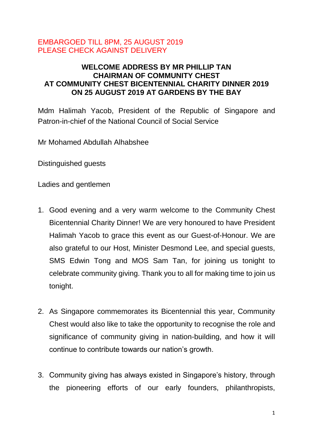## EMBARGOED TILL 8PM, 25 AUGUST 2019 PLEASE CHECK AGAINST DELIVERY

## **WELCOME ADDRESS BY MR PHILLIP TAN CHAIRMAN OF COMMUNITY CHEST AT COMMUNITY CHEST BICENTENNIAL CHARITY DINNER 2019 ON 25 AUGUST 2019 AT GARDENS BY THE BAY**

Mdm Halimah Yacob, President of the Republic of Singapore and Patron-in-chief of the National Council of Social Service

Mr Mohamed Abdullah Alhabshee

Distinguished guests

Ladies and gentlemen

- 1. Good evening and a very warm welcome to the Community Chest Bicentennial Charity Dinner! We are very honoured to have President Halimah Yacob to grace this event as our Guest-of-Honour. We are also grateful to our Host, Minister Desmond Lee, and special guests, SMS Edwin Tong and MOS Sam Tan, for joining us tonight to celebrate community giving. Thank you to all for making time to join us tonight.
- 2. As Singapore commemorates its Bicentennial this year, Community Chest would also like to take the opportunity to recognise the role and significance of community giving in nation-building, and how it will continue to contribute towards our nation's growth.
- 3. Community giving has always existed in Singapore's history, through the pioneering efforts of our early founders, philanthropists,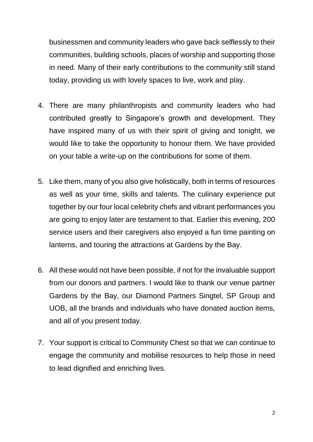businessmen and community leaders who gave back selflessly to their communities, building schools, places of worship and supporting those in need. Many of their early contributions to the community still stand today, providing us with lovely spaces to live, work and play.

- 4. There are many philanthropists and community leaders who had contributed greatly to Singapore's growth and development. They have inspired many of us with their spirit of giving and tonight, we would like to take the opportunity to honour them. We have provided on your table a write-up on the contributions for some of them.
- 5. Like them, many of you also give holistically, both in terms of resources as well as your time, skills and talents. The culinary experience put together by our four local celebrity chefs and vibrant performances you are going to enjoy later are testament to that. Earlier this evening, 200 service users and their caregivers also enjoyed a fun time painting on lanterns, and touring the attractions at Gardens by the Bay.
- 6. All these would not have been possible, if not for the invaluable support from our donors and partners. I would like to thank our venue partner Gardens by the Bay, our Diamond Partners Singtel, SP Group and UOB, all the brands and individuals who have donated auction items, and all of you present today.
- 7. Your support is critical to Community Chest so that we can continue to engage the community and mobilise resources to help those in need to lead dignified and enriching lives.